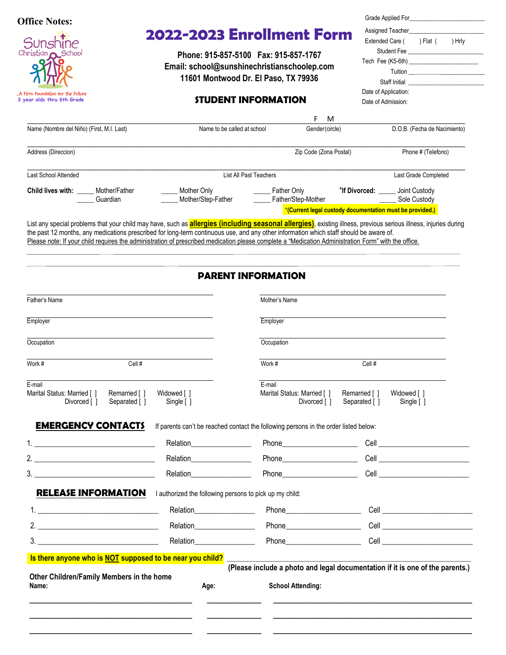| <b>Office Notes:</b>                                                                                    |                                                                                                                                                            |                                                                       |                                            | Grade Applied For <b>Example 20</b>                               |
|---------------------------------------------------------------------------------------------------------|------------------------------------------------------------------------------------------------------------------------------------------------------------|-----------------------------------------------------------------------|--------------------------------------------|-------------------------------------------------------------------|
|                                                                                                         | 2022-2023 Enrollment Form                                                                                                                                  |                                                                       | Extended Care (                            | ) Flat (<br>) Hrly                                                |
| Sunshine<br>Christian <b>O</b> School<br>A Firm Foundation for the Future<br>3 year olds thru 6th Grade | Phone: 915-857-5100 Fax: 915-857-1767<br>Email: school@sunshinechristianschoolep.com<br>11601 Montwood Dr. El Paso, TX 79936<br><b>STUDENT INFORMATION</b> |                                                                       | Date of Application:<br>Date of Admission: | Student Fee <b>Executive Student</b> Fee <b>Executive Student</b> |
| Name (Nombre del Niño) (First, M.I. Last)                                                               | Name to be called at school                                                                                                                                | F<br>M<br>Gender(circle)                                              |                                            | D.O.B. (Fecha de Nacimiento)                                      |
| Address (Direccion)                                                                                     |                                                                                                                                                            | Zip Code (Zona Postal)                                                |                                            | Phone # (Telefono)                                                |
| Last School Attended                                                                                    | List All Past Teachers                                                                                                                                     |                                                                       |                                            | Last Grade Completed                                              |
| <b>Child lives with:</b> Mother/Father<br>Guardian                                                      | Mother Only<br>Mother/Step-Father                                                                                                                          | Father Only<br>Father/Step-Mother Carrier Communication Communication | *If Divorced: ______ Joint Custody         | Sole Custody                                                      |
|                                                                                                         |                                                                                                                                                            | *(Current legal custody documentation must be provided.)              |                                            |                                                                   |

List any special problems that your child may have, such as **allergies (including seasonal allergies)**, existing illness, previous serious illness, injuries during the past 12 months, any medications prescribed for long-term continuous use, and any other information which staff should be aware of. Please note: If your child requires the administration of prescribed medication please complete a "Medication Administration Form" with the office.

# **PARENT INFORMATION**

| Father's Name                                                                           |                                                                                                                                                                                                                                | Mother's Name                                                                                                                                                                                                                      |                                                                               |
|-----------------------------------------------------------------------------------------|--------------------------------------------------------------------------------------------------------------------------------------------------------------------------------------------------------------------------------|------------------------------------------------------------------------------------------------------------------------------------------------------------------------------------------------------------------------------------|-------------------------------------------------------------------------------|
| Employer                                                                                |                                                                                                                                                                                                                                | Employer                                                                                                                                                                                                                           |                                                                               |
| Occupation                                                                              |                                                                                                                                                                                                                                | Occupation                                                                                                                                                                                                                         |                                                                               |
| Cell $#$<br>Work #                                                                      |                                                                                                                                                                                                                                | Work #                                                                                                                                                                                                                             | Cell#                                                                         |
| E-mail<br>Marital Status: Married [ ]<br>Remarried [ ]<br>Divorced [ ]<br>Separated [ ] | Widowed [ ]<br>Single [ ]                                                                                                                                                                                                      | E-mail<br>Marital Status: Married [ ]<br>Divorced [ ]                                                                                                                                                                              | Remarried [ ]<br>Widowed [ ]<br>Separated []<br>Single [ ]                    |
| <b>EMERGENCY CONTACTS</b>                                                               |                                                                                                                                                                                                                                | If parents can't be reached contact the following persons in the order listed below:                                                                                                                                               |                                                                               |
|                                                                                         | Relation__________________                                                                                                                                                                                                     |                                                                                                                                                                                                                                    |                                                                               |
| 2. $\qquad \qquad$                                                                      |                                                                                                                                                                                                                                | <b>Phone <i>Company</i></b>                                                                                                                                                                                                        | <b>Cell Cell Cell Cell Cell Cell Cell</b>                                     |
|                                                                                         | Relation <b>Relation</b>                                                                                                                                                                                                       |                                                                                                                                                                                                                                    |                                                                               |
| <b>RELEASE INFORMATION</b>                                                              | I authorized the following persons to pick up my child:                                                                                                                                                                        |                                                                                                                                                                                                                                    |                                                                               |
| 1.                                                                                      | Relation_________________                                                                                                                                                                                                      | Phone Phone                                                                                                                                                                                                                        |                                                                               |
|                                                                                         | Relation Electronic Property and Property and Property and Property and Property and Property and Property and Property and Property and Property and Property and Property and Property and Property and Property and Propert |                                                                                                                                                                                                                                    | <b>Cell Cell Cell Cell Cell Cell</b>                                          |
| 3.                                                                                      | Relation <b>Relation</b>                                                                                                                                                                                                       | <b>Phone Contract Contract Contract Contract Contract Contract Contract Contract Contract Contract Contract Contract Contract Contract Contract Contract Contract Contract Contract Contract Contract Contract Contract Contra</b> | <b>Cell Cell Cell Cell Cell Cell Cell</b>                                     |
| Is there anyone who is NOT supposed to be near you child?                               |                                                                                                                                                                                                                                |                                                                                                                                                                                                                                    |                                                                               |
| Other Children/Family Members in the home                                               |                                                                                                                                                                                                                                |                                                                                                                                                                                                                                    | (Please include a photo and legal documentation if it is one of the parents.) |
| Name:                                                                                   | Age:                                                                                                                                                                                                                           | <b>School Attending:</b>                                                                                                                                                                                                           |                                                                               |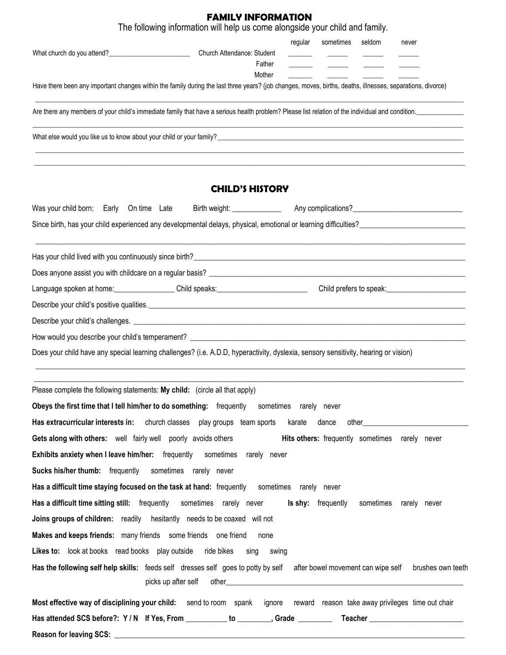# **FAMILY INFORMATION**

|                                                                                                                                                                                                                                                                     | The following information will help us come alongside your child and family. |         |           |        |                                                |
|---------------------------------------------------------------------------------------------------------------------------------------------------------------------------------------------------------------------------------------------------------------------|------------------------------------------------------------------------------|---------|-----------|--------|------------------------------------------------|
| What church do you attend?<br><u>[</u> [11] Matter of the state of the state of the state of the state of the state of the state of the state of the state of the state of the state of the state of the state of the state of the sta                              | Church Attendance: Student<br>Father<br>Mother                               | regular | sometimes | seldom | never                                          |
| Have there been any important changes within the family during the last three years? (job changes, moves, births, deaths, illnesses, separations, divorce)                                                                                                          |                                                                              |         |           |        |                                                |
| Are there any members of your child's immediate family that have a serious health problem? Please list relation of the individual and condition.                                                                                                                    |                                                                              |         |           |        |                                                |
| What else would you like us to know about your child or your family?<br>What else would you like us to know about your child or your family?                                                                                                                        |                                                                              |         |           |        |                                                |
|                                                                                                                                                                                                                                                                     | <b>CHILD'S HISTORY</b>                                                       |         |           |        |                                                |
| Was your child born: Early On time Late                                                                                                                                                                                                                             |                                                                              |         |           |        |                                                |
| Since birth, has your child experienced any developmental delays, physical, emotional or learning difficulties?                                                                                                                                                     |                                                                              |         |           |        |                                                |
|                                                                                                                                                                                                                                                                     |                                                                              |         |           |        |                                                |
|                                                                                                                                                                                                                                                                     |                                                                              |         |           |        |                                                |
|                                                                                                                                                                                                                                                                     |                                                                              |         |           |        |                                                |
|                                                                                                                                                                                                                                                                     |                                                                              |         |           |        |                                                |
|                                                                                                                                                                                                                                                                     |                                                                              |         |           |        |                                                |
|                                                                                                                                                                                                                                                                     |                                                                              |         |           |        |                                                |
| Does your child have any special learning challenges? (i.e. A.D.D, hyperactivity, dyslexia, sensory sensitivity, hearing or vision)                                                                                                                                 |                                                                              |         |           |        |                                                |
| Please complete the following statements: My child: (circle all that apply)<br>Obeys the first time that I tell him/her to do something: frequently sometimes rarely never<br>Has extracurricular interests in: church classes play groups team sports karate dance |                                                                              |         |           |        |                                                |
| Gets along with others: well fairly well poorly avoids others                                                                                                                                                                                                       |                                                                              |         |           |        | Hits others: frequently sometimes rarely never |
| Exhibits anxiety when I leave him/her: frequently sometimes rarely never                                                                                                                                                                                            |                                                                              |         |           |        |                                                |
| <b>Sucks his/her thumb:</b> frequently sometimes rarely never                                                                                                                                                                                                       |                                                                              |         |           |        |                                                |
| Has a difficult time staying focused on the task at hand: frequently sometimes rarely never                                                                                                                                                                         |                                                                              |         |           |        |                                                |
| Has a difficult time sitting still: frequently sometimes rarely never <b>Is shy:</b> frequently                                                                                                                                                                     |                                                                              |         |           |        | sometimes rarely never                         |
| Joins groups of children: readily hesitantly needs to be coaxed will not                                                                                                                                                                                            |                                                                              |         |           |        |                                                |
| Makes and keeps friends: many friends some friends one friend                                                                                                                                                                                                       | none                                                                         |         |           |        |                                                |
| Likes to: look at books read books play outside ride bikes sing swing                                                                                                                                                                                               |                                                                              |         |           |        |                                                |
| Has the following self help skills: feeds self dresses self goes to potty by self after bowel movement can wipe self brushes own teeth                                                                                                                              |                                                                              |         |           |        |                                                |
| Most effective way of disciplining your child: send to room spank ignore reward reason take away privileges time out chair                                                                                                                                          |                                                                              |         |           |        |                                                |
|                                                                                                                                                                                                                                                                     |                                                                              |         |           |        |                                                |

**Reason for leaving SCS: \_\_\_\_\_\_\_\_\_\_\_\_\_\_\_\_\_\_\_\_\_\_\_\_\_\_\_\_\_\_\_\_\_\_\_\_\_\_\_\_\_\_\_\_\_\_\_\_\_\_\_\_\_\_\_\_\_\_\_\_\_\_\_\_\_\_\_\_\_\_\_\_\_\_\_\_\_\_\_\_\_\_\_\_\_\_\_\_\_\_\_\_\_**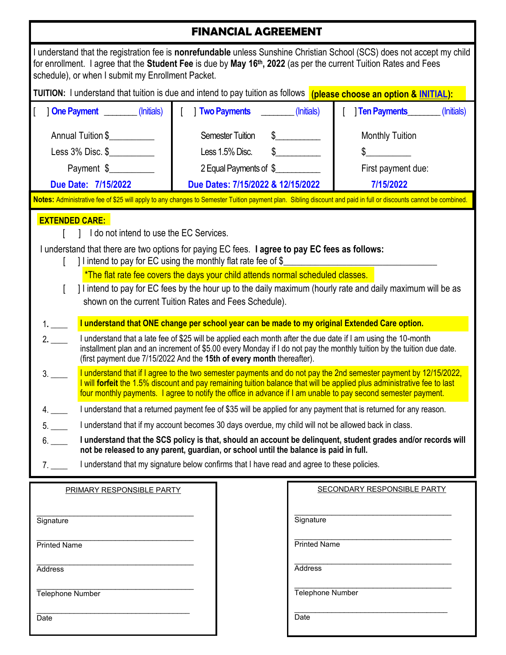# **FINANCIAL AGREEMENT**

| for enrollment. I agree that the Student Fee is due by May 16 <sup>th</sup> , 2022 (as per the current Tuition Rates and Fees<br>schedule), or when I submit my Enrollment Packet.                                                                                                                                                                                                                                                                                                                                                                                                                                                                                                                                                                                                                                                                                                                                                                                                                                                                                                                                                                                                                                                                                                                                                                                                                                                                                                                                                                                                                                                                                                                                                                                                                                                                                                                                     |  |                                   |                                                                 | I understand that the registration fee is nonrefundable unless Sunshine Christian School (SCS) does not accept my child |
|------------------------------------------------------------------------------------------------------------------------------------------------------------------------------------------------------------------------------------------------------------------------------------------------------------------------------------------------------------------------------------------------------------------------------------------------------------------------------------------------------------------------------------------------------------------------------------------------------------------------------------------------------------------------------------------------------------------------------------------------------------------------------------------------------------------------------------------------------------------------------------------------------------------------------------------------------------------------------------------------------------------------------------------------------------------------------------------------------------------------------------------------------------------------------------------------------------------------------------------------------------------------------------------------------------------------------------------------------------------------------------------------------------------------------------------------------------------------------------------------------------------------------------------------------------------------------------------------------------------------------------------------------------------------------------------------------------------------------------------------------------------------------------------------------------------------------------------------------------------------------------------------------------------------|--|-----------------------------------|-----------------------------------------------------------------|-------------------------------------------------------------------------------------------------------------------------|
| TUITION: I understand that tuition is due and intend to pay tuition as follows (please choose an option & INITIAL):                                                                                                                                                                                                                                                                                                                                                                                                                                                                                                                                                                                                                                                                                                                                                                                                                                                                                                                                                                                                                                                                                                                                                                                                                                                                                                                                                                                                                                                                                                                                                                                                                                                                                                                                                                                                    |  |                                   |                                                                 |                                                                                                                         |
| <b>One Payment</b> (Initials)                                                                                                                                                                                                                                                                                                                                                                                                                                                                                                                                                                                                                                                                                                                                                                                                                                                                                                                                                                                                                                                                                                                                                                                                                                                                                                                                                                                                                                                                                                                                                                                                                                                                                                                                                                                                                                                                                          |  | Two Payments                      | (Initials)                                                      | Ten Payments<br>(Initials)                                                                                              |
| Annual Tuition \$                                                                                                                                                                                                                                                                                                                                                                                                                                                                                                                                                                                                                                                                                                                                                                                                                                                                                                                                                                                                                                                                                                                                                                                                                                                                                                                                                                                                                                                                                                                                                                                                                                                                                                                                                                                                                                                                                                      |  | <b>Semester Tuition</b>           | $\mathbb{S}$                                                    | <b>Monthly Tuition</b>                                                                                                  |
| Less 3% Disc. \$_____________                                                                                                                                                                                                                                                                                                                                                                                                                                                                                                                                                                                                                                                                                                                                                                                                                                                                                                                                                                                                                                                                                                                                                                                                                                                                                                                                                                                                                                                                                                                                                                                                                                                                                                                                                                                                                                                                                          |  | Less 1.5% Disc.                   | $\sim$                                                          | $\mathbb{S}$                                                                                                            |
| Payment \$                                                                                                                                                                                                                                                                                                                                                                                                                                                                                                                                                                                                                                                                                                                                                                                                                                                                                                                                                                                                                                                                                                                                                                                                                                                                                                                                                                                                                                                                                                                                                                                                                                                                                                                                                                                                                                                                                                             |  | 2 Equal Payments of \$            |                                                                 | First payment due:                                                                                                      |
| Due Date: 7/15/2022                                                                                                                                                                                                                                                                                                                                                                                                                                                                                                                                                                                                                                                                                                                                                                                                                                                                                                                                                                                                                                                                                                                                                                                                                                                                                                                                                                                                                                                                                                                                                                                                                                                                                                                                                                                                                                                                                                    |  | Due Dates: 7/15/2022 & 12/15/2022 |                                                                 | 7/15/2022                                                                                                               |
|                                                                                                                                                                                                                                                                                                                                                                                                                                                                                                                                                                                                                                                                                                                                                                                                                                                                                                                                                                                                                                                                                                                                                                                                                                                                                                                                                                                                                                                                                                                                                                                                                                                                                                                                                                                                                                                                                                                        |  |                                   |                                                                 |                                                                                                                         |
| Notes: Administrative fee of \$25 will apply to any changes to Semester Tuition payment plan. Sibling discount and paid in full or discounts cannot be combined.<br><b>EXTENDED CARE:</b><br>I do not intend to use the EC Services.<br>I understand that there are two options for paying EC fees. I agree to pay EC fees as follows:<br>] I intend to pay for EC using the monthly flat rate fee of \$<br>*The flat rate fee covers the days your child attends normal scheduled classes.<br>I lintend to pay for EC fees by the hour up to the daily maximum (hourly rate and daily maximum will be as<br>shown on the current Tuition Rates and Fees Schedule).<br>I understand that ONE change per school year can be made to my original Extended Care option.<br>1.<br>I understand that a late fee of \$25 will be applied each month after the due date if I am using the 10-month<br>2.<br>installment plan and an increment of \$5.00 every Monday if I do not pay the monthly tuition by the tuition due date.<br>(first payment due 7/15/2022 And the 15th of every month thereafter).<br>I understand that if I agree to the two semester payments and do not pay the 2nd semester payment by 12/15/2022,<br>3.<br>I will forfeit the 1.5% discount and pay remaining tuition balance that will be applied plus administrative fee to last<br>four monthly payments. I agree to notify the office in advance if I am unable to pay second semester payment.<br>I understand that a returned payment fee of \$35 will be applied for any payment that is returned for any reason.<br>I understand that if my account becomes 30 days overdue, my child will not be allowed back in class.<br>5.<br>I understand that the SCS policy is that, should an account be delinquent, student grades and/or records will<br>not be released to any parent, guardian, or school until the balance is paid in full. |  |                                   |                                                                 |                                                                                                                         |
|                                                                                                                                                                                                                                                                                                                                                                                                                                                                                                                                                                                                                                                                                                                                                                                                                                                                                                                                                                                                                                                                                                                                                                                                                                                                                                                                                                                                                                                                                                                                                                                                                                                                                                                                                                                                                                                                                                                        |  |                                   |                                                                 |                                                                                                                         |
| PRIMARY RESPONSIBLE PARTY<br>Signature<br><b>Printed Name</b><br>Address<br>Telephone Number                                                                                                                                                                                                                                                                                                                                                                                                                                                                                                                                                                                                                                                                                                                                                                                                                                                                                                                                                                                                                                                                                                                                                                                                                                                                                                                                                                                                                                                                                                                                                                                                                                                                                                                                                                                                                           |  |                                   | Signature<br><b>Printed Name</b><br>Address<br>Telephone Number | <b>SECONDARY RESPONSIBLE PARTY</b>                                                                                      |
| Date<br>Date                                                                                                                                                                                                                                                                                                                                                                                                                                                                                                                                                                                                                                                                                                                                                                                                                                                                                                                                                                                                                                                                                                                                                                                                                                                                                                                                                                                                                                                                                                                                                                                                                                                                                                                                                                                                                                                                                                           |  |                                   |                                                                 |                                                                                                                         |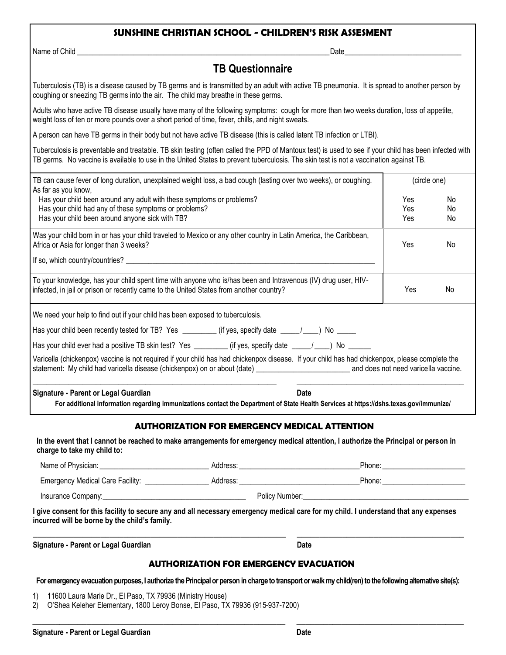#### **SUNSHINE CHRISTIAN SCHOOL - CHILDREN'S RISK ASSESMENT**

Name of Child \_\_\_\_\_\_\_\_\_\_\_\_\_\_\_\_\_\_\_\_\_\_\_\_\_\_\_\_\_\_\_\_\_\_\_\_\_\_\_\_\_\_\_\_\_\_\_\_\_\_\_\_\_\_\_\_\_\_\_\_\_\_\_\_\_\_\_Date\_\_\_\_\_\_\_\_\_\_\_\_\_\_\_\_\_\_\_\_\_\_\_\_\_\_\_\_\_\_\_

## **TB Questionnaire**

Tuberculosis (TB) is a disease caused by TB germs and is transmitted by an adult with active TB pneumonia. It is spread to another person by coughing or sneezing TB germs into the air. The child may breathe in these germs.

Adults who have active TB disease usually have many of the following symptoms: cough for more than two weeks duration, loss of appetite, weight loss of ten or more pounds over a short period of time, fever, chills, and night sweats.

A person can have TB germs in their body but not have active TB disease (this is called latent TB infection or LTBI).

Tuberculosis is preventable and treatable. TB skin testing (often called the PPD of Mantoux test) is used to see if your child has been infected with TB germs. No vaccine is available to use in the United States to prevent tuberculosis. The skin test is not a vaccination against TB.

| For additional information regarding immunizations contact the Department of State Health Services at https://dshs.texas.gov/immunize/                                                                                                                                                             |                          |                       |
|----------------------------------------------------------------------------------------------------------------------------------------------------------------------------------------------------------------------------------------------------------------------------------------------------|--------------------------|-----------------------|
| Signature - Parent or Legal Guardian<br><b>Date</b>                                                                                                                                                                                                                                                |                          |                       |
| Varicella (chickenpox) vaccine is not required if your child has had chickenpox disease. If your child has had chickenpox, please complete the<br>statement: My child had varicella disease (chickenpox) on or about (date) _________________________________ and does not need varicella vaccine. |                          |                       |
| Has your child ever had a positive TB skin test? Yes __________ (if yes, specify date ____/___) No ______                                                                                                                                                                                          |                          |                       |
| Has your child been recently tested for TB? Yes ________(if yes, specify date ____/__) No ____                                                                                                                                                                                                     |                          |                       |
| We need your help to find out if your child has been exposed to tuberculosis.                                                                                                                                                                                                                      |                          |                       |
| To your knowledge, has your child spent time with anyone who is/has been and Intravenous (IV) drug user, HIV-<br>infected, in jail or prison or recently came to the United States from another country?                                                                                           | Yes                      | No                    |
|                                                                                                                                                                                                                                                                                                    |                          |                       |
| Was your child born in or has your child traveled to Mexico or any other country in Latin America, the Caribbean,<br>Africa or Asia for longer than 3 weeks?                                                                                                                                       | <b>Yes</b>               | No.                   |
| Has your child been around any adult with these symptoms or problems?<br>Has your child had any of these symptoms or problems?<br>Has your child been around anyone sick with TB?                                                                                                                  | Yes<br>Yes<br><b>Yes</b> | <b>No</b><br>No<br>No |
| TB can cause fever of long duration, unexplained weight loss, a bad cough (lasting over two weeks), or coughing.<br>As far as you know,                                                                                                                                                            | (circle one)             |                       |

**charge to take my child to:**

| Name of Physician:                      | Address: |                | Phone: |
|-----------------------------------------|----------|----------------|--------|
| <b>Emergency Medical Care Facility:</b> | Address: |                | Phone: |
| Insurance Company:                      |          | Policy Number: |        |

**I give consent for this facility to secure any and all necessary emergency medical care for my child. I understand that any expenses incurred will be borne by the child's family.**

\_\_\_\_\_\_\_\_\_\_\_\_\_\_\_\_\_\_\_\_\_\_\_\_\_\_\_\_\_\_\_\_\_\_\_\_\_\_\_\_\_\_\_\_\_\_\_\_\_\_\_\_\_\_\_\_ \_\_\_\_\_\_\_\_\_\_\_\_\_\_\_\_\_\_\_\_\_\_\_\_\_\_\_\_\_\_\_\_\_\_\_\_\_

| Signature - Parent or Legal Guardian | Date |
|--------------------------------------|------|
|                                      |      |

#### **AUTHORIZATION FOR EMERGENCY EVACUATION**

**For emergency evacuation purposes, I authorize the Principal or person in charge to transport or walk my child(ren) to the following alternative site(s):**

 $\_$  ,  $\_$  ,  $\_$  ,  $\_$  ,  $\_$  ,  $\_$  ,  $\_$  ,  $\_$  ,  $\_$  ,  $\_$  ,  $\_$  ,  $\_$  ,  $\_$  ,  $\_$  ,  $\_$  ,  $\_$  ,  $\_$  ,  $\_$  ,  $\_$  ,  $\_$  ,  $\_$  ,  $\_$  ,  $\_$  ,  $\_$  ,  $\_$  ,  $\_$  ,  $\_$  ,  $\_$  ,  $\_$  ,  $\_$  ,  $\_$  ,  $\_$  ,  $\_$  ,  $\_$  ,  $\_$  ,  $\_$  ,  $\_$  ,

1) 11600 Laura Marie Dr., El Paso, TX 79936 (Ministry House)

2) O'Shea Keleher Elementary, 1800 Leroy Bonse, El Paso, TX 79936 (915-937-7200)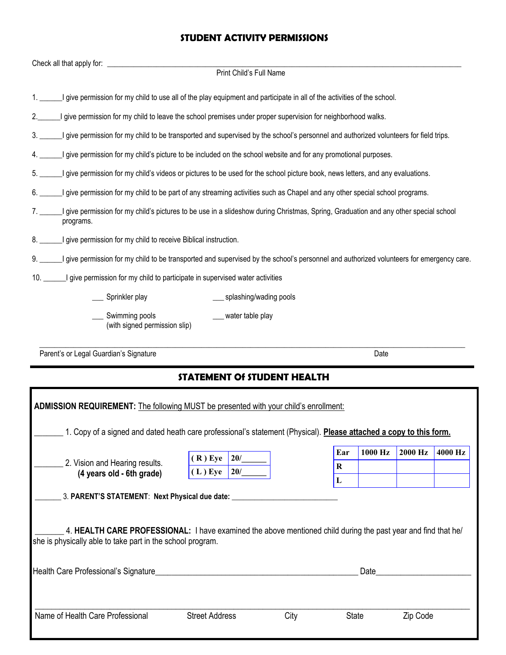# **STUDENT ACTIVITY PERMISSIONS**

| Check all that apply for:                                                                                                      |                                    |                                                                                                                                         |
|--------------------------------------------------------------------------------------------------------------------------------|------------------------------------|-----------------------------------------------------------------------------------------------------------------------------------------|
|                                                                                                                                | Print Child's Full Name            |                                                                                                                                         |
| I give permission for my child to use all of the play equipment and participate in all of the activities of the school.        |                                    |                                                                                                                                         |
| I give permission for my child to leave the school premises under proper supervision for neighborhood walks.                   |                                    |                                                                                                                                         |
|                                                                                                                                |                                    | I give permission for my child to be transported and supervised by the school's personnel and authorized volunteers for field trips.    |
| I give permission for my child's picture to be included on the school website and for any promotional purposes.                |                                    |                                                                                                                                         |
| I give permission for my child's videos or pictures to be used for the school picture book, news letters, and any evaluations. |                                    |                                                                                                                                         |
| I give permission for my child to be part of any streaming activities such as Chapel and any other special school programs.    |                                    |                                                                                                                                         |
| programs.                                                                                                                      |                                    | I give permission for my child's pictures to be use in a slideshow during Christmas, Spring, Graduation and any other special school    |
| 8. ______I give permission for my child to receive Biblical instruction.                                                       |                                    |                                                                                                                                         |
|                                                                                                                                |                                    | I give permission for my child to be transported and supervised by the school's personnel and authorized volunteers for emergency care. |
| 10. _______I give permission for my child to participate in supervised water activities                                        |                                    |                                                                                                                                         |
| Sprinkler play                                                                                                                 | splashing/wading pools             |                                                                                                                                         |
| Swimming pools<br>(with signed permission slip)                                                                                | water table play                   |                                                                                                                                         |
| Parent's or Legal Guardian's Signature                                                                                         |                                    | Date                                                                                                                                    |
|                                                                                                                                | <b>STATEMENT Of STUDENT HEALTH</b> |                                                                                                                                         |
| ADMISSION REQUIREMENT: The following MUST be presented with your child's enrollment:                                           |                                    |                                                                                                                                         |
|                                                                                                                                |                                    | 1. Copy of a signed and dated heath care professional's statement (Physical). Please attached a copy to this form.                      |
|                                                                                                                                | $\sim$<br>(1)                      | 1000 Hz<br>2000 Hz<br>4000 Hz<br>Ear                                                                                                    |

|                                                                                                               | 20/<br>$(R)$ Eye      |      |              | 1 V V V 114 | - , , , , , , , , , | IVVV 114 |
|---------------------------------------------------------------------------------------------------------------|-----------------------|------|--------------|-------------|---------------------|----------|
| 2. Vision and Hearing results.<br>(4 years old - 6th grade)                                                   | $(L)$ Eye<br>20/      |      | R            |             |                     |          |
|                                                                                                               |                       |      | L            |             |                     |          |
| 3. PARENT'S STATEMENT: Next Physical due date:                                                                |                       |      |              |             |                     |          |
|                                                                                                               |                       |      |              |             |                     |          |
|                                                                                                               |                       |      |              |             |                     |          |
| 4. HEALTH CARE PROFESSIONAL: I have examined the above mentioned child during the past year and find that he/ |                       |      |              |             |                     |          |
| she is physically able to take part in the school program.                                                    |                       |      |              |             |                     |          |
|                                                                                                               |                       |      |              |             |                     |          |
| Health Care Professional's Signature                                                                          |                       |      |              | Date        |                     |          |
|                                                                                                               |                       |      |              |             |                     |          |
|                                                                                                               |                       |      |              |             |                     |          |
|                                                                                                               |                       |      |              |             |                     |          |
| Name of Health Care Professional                                                                              | <b>Street Address</b> | City | <b>State</b> |             | Zip Code            |          |
|                                                                                                               |                       |      |              |             |                     |          |
|                                                                                                               |                       |      |              |             |                     |          |